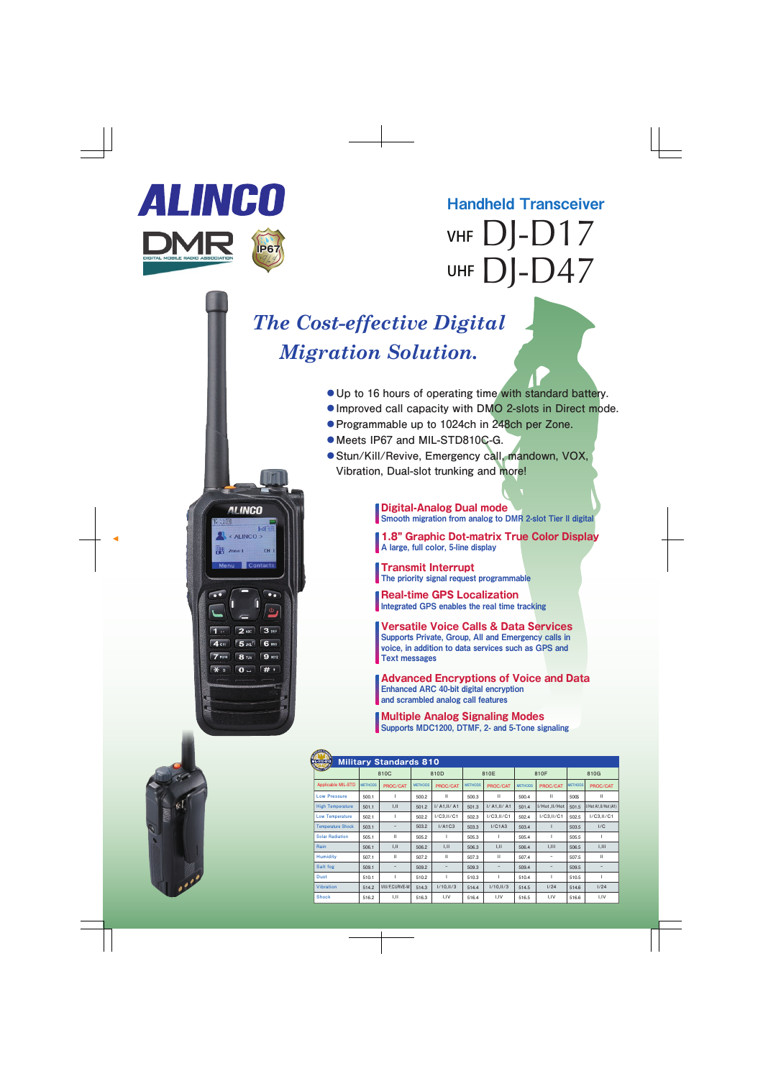

**ALINCO** 

<ALINCO>

**Zone 1** 

**IENTIL** 

 $CH<sub>1</sub>$ 

 $\bullet\bullet$  $\Phi$ 

2 ABC 3 DEF 5 JKL 6 MNO  $9<sub>wx2</sub>$ 

**8** TUV  $\boxed{0}$   $\boxed{t}$ 

DJ-D17 DJ-D47 VHF UHF Handheld Transceiver VHF Digital/Analog Transceiver

## *The Cost-effective Digital Migration Solution.*

- **●Up to 16 hours of operating time with standard battery.**
- **●Improved call capacity with DMO 2-slots in Direct mode.**
- **●Programmable up to 1024ch in 248ch per Zone.**
- **●Meets IP67 and MIL-STD810C-G.**
- **●Stun/Kill/Revive, Emergency call, mandown, VOX, Vibration, Dual-slot trunking and more!**

**Digital-Analog Dual mode** Smooth migration from analog to DMR 2-slot Tier II digital

**1.8" Graphic Dot-matrix True Color Display** A large, full color, 5-line display

**Transmit Interrupt** The priority signal request programmable

**Real-time GPS Localization** Integrated GPS enables the real time tracking

**Versatile Voice Calls & Data Services** Supports Private, Group, All and Emergency calls in voice, in addition to data services such as GPS and Text messages

**Advanced Encryptions of Voice and Data** Enhanced ARC 40-bit digital encryption and scrambled analog call features

**Multiple Analog Signaling Modes** Supports MDC1200, DTMF, 2- and 5-Tone signaling

| <b>SPIRALLY</b>                                     |                |                |                |                   |                |                   |                |               |                |                      |
|-----------------------------------------------------|----------------|----------------|----------------|-------------------|----------------|-------------------|----------------|---------------|----------------|----------------------|
| <b>Military Standards 810</b><br><b>MIL-STD-810</b> |                |                |                |                   |                |                   |                |               |                |                      |
| <b>QUICH ISSOCI</b>                                 | 810C           |                | 810D           |                   | 810E           |                   | 810F           |               | 810G           |                      |
| <b>Applicable MIL-STD</b>                           | <b>METHODS</b> | PROC/CAT       | <b>METHODS</b> | PROC/CAT          | <b>METHODS</b> | PROC/CAT          | <b>METHODS</b> | PROC/CAT      | <b>METHODS</b> | PROC/CAT             |
| <b>Low Pressure</b>                                 | 500.1          |                | 500.2          | $\mathbf{H}$      | 500.3          | $\mathbf{H}$      | 500.4          | $\mathbf{H}$  | 5005           | $\mathbf{H}$         |
| <b>High Temperature</b>                             | 501.1          | I, II          | 501.2          | I/ A1, II/ A1     | 501.3          | I/ A1, II/ A1     | 501.4          | I/Hot, II/Hot | 501.5          | I/Hot A1,II/Hot (A1) |
| <b>Low Temperature</b>                              | 502.1          |                | 502.2          | I/C3,II/C1        | 502.3          | I/C3,II/C1        | 502.4          | I/C3,II/C1    | 502.5          | I/C3,II/C1           |
| <b>Temperature Shock</b>                            | 503.1          |                | 503.2          | I/A1C3            | 503.3          | I/C1A3            | 503.4          |               | 503.5          | 1/C                  |
| <b>Solar Radiation</b>                              | 505.1          | $\mathbf{H}$   | 505.2          | ı                 | 505.3          | ı                 | 505.4          | т             | 505.5          |                      |
| Rain                                                | 506.1          | I, II          | 506.2          | I,II              | 506.3          | I, II             | 506.4          | 1,111         | 506.5          | 1,111                |
| <b>Humidity</b>                                     | 507.1          | $\mathbf{H}$   | 507.2          | Ш                 | 507.3          | $\mathbf{H}$      | 507.4          | -             | 507.5          | $\mathbf{H}$         |
| Salt fog                                            | 509.1          | -              | 509.2          | $\qquad \qquad -$ | 509.3          | $\qquad \qquad -$ | 509.4          |               | 509.5          |                      |
| <b>Dust</b>                                         | 510.1          |                | 510.2          | т                 | 510.3          | L                 | 510.4          | т             | 510.5          | ı                    |
| <b>Vibration</b>                                    | 514.2          | VIII/F,CURVE-W | 514.3          | 1/10,11/3         | 514.4          | 1/10,11/3         | 514.5          | 1/24          | 514.6          | 1/24                 |
| <b>Shock</b>                                        | 516.2          | 1, 11          | 516.3          | I.IV              | 516.4          | VI,I              | 516.5          | I,IV          | 516.6          | I,IV                 |